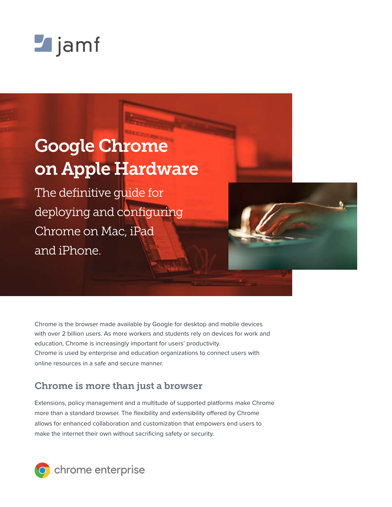

# Google Chrome on Apple Hardware

The definitive guide for deploying and configuring Chrome on Mac, iPad and iPhone.

Chrome is the browser made available by Google for desktop and mobile devices with over 2 billion users. As more workers and students rely on devices for work and education, Chrome is increasingly important for users' productivity. Chrome is used by enterprise and education organizations to connect users with online resources in a safe and secure manner.

# Chrome is more than just a browser

Extensions, policy management and a multitude of supported platforms make Chrome more than a standard browser. The flexibility and extensibility offered by Chrome allows for enhanced collaboration and customization that empowers end users to make the internet their own without sacrificing safety or security.

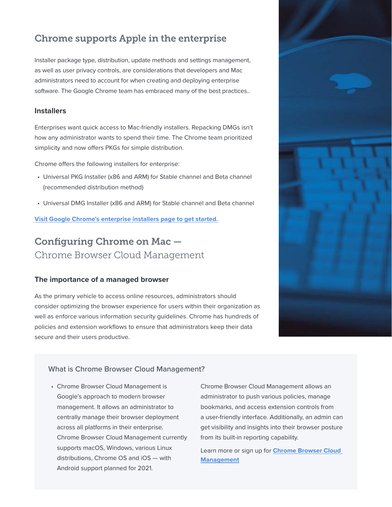# Chrome supports Apple in the enterprise

Installer package type, distribution, update methods and settings management, as well as user privacy controls, are considerations that developers and Mac administrators need to account for when creating and deploying enterprise software. The Google Chrome team has embraced many of the best practices..

#### **Installers**

Enterprises want quick access to Mac-friendly installers. Repacking DMGs isn't how any administrator wants to spend their time. The Chrome team prioritized simplicity and now offers PKGs for simple distribution.

Chrome offers the following installers for enterprise:

- Universal PKG Installer (x86 and ARM) for Stable channel and Beta channel (recommended distribution method)
- Universal DMG Installer (x86 and ARM) for Stable channel and Beta channel

**[Visit Google Chrome's enterprise installers page to get started.](https://chromeenterprise.google/browser/download/)**

# Configuring Chrome on Mac — Chrome Browser Cloud Management

#### **The importance of a managed browser**

As the primary vehicle to access online resources, administrators should consider optimizing the browser experience for users within their organization as well as enforce various information security guidelines. Chrome has hundreds of policies and extension workflows to ensure that administrators keep their data secure and their users productive.



#### What is Chrome Browser Cloud Management?

• Chrome Browser Cloud Management is Google's approach to modern browser management. It allows an administrator to centrally manage their browser deployment across all platforms in their enterprise. Chrome Browser Cloud Management currently supports macOS, Windows, various Linux distributions, Chrome OS and iOS — with Android support planned for 2021.

Chrome Browser Cloud Management allows an administrator to push various policies, manage bookmarks, and access extension controls from a user-friendly interface. Additionally, an admin can get visibility and insights into their browser posture from its built-in reporting capability.

Learn more or sign up for **[Chrome Browser Cloud](https://chromeenterprise.google/browser/management/?utm_source=jamfpaper&utm_medium=paper&utm_campaign=Q1)  [Management](https://chromeenterprise.google/browser/management/?utm_source=jamfpaper&utm_medium=paper&utm_campaign=Q1)**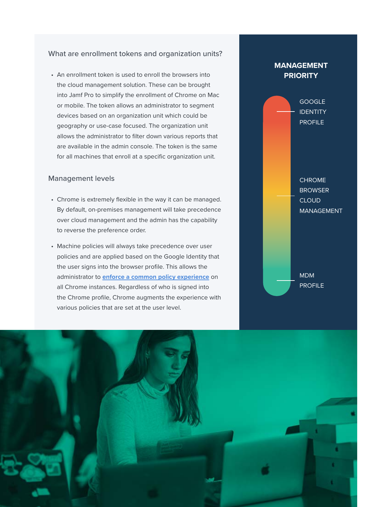#### What are enrollment tokens and organization units?

• An enrollment token is used to enroll the browsers into the cloud management solution. These can be brought into Jamf Pro to simplify the enrollment of Chrome on Mac or mobile. The token allows an administrator to segment devices based on an organization unit which could be geography or use-case focused. The organization unit allows the administrator to filter down various reports that are available in the admin console. The token is the same for all machines that enroll at a specific organization unit.

#### Management levels

- Chrome is extremely flexible in the way it can be managed. By default, on-premises management will take precedence over cloud management and the admin has the capability to reverse the preference order.
- Machine policies will always take precedence over user policies and are applied based on the Google Identity that the user signs into the browser profile. This allows the administrator to **[enforce a common policy experience](https://support.google.com/chrome/a/answer/9037717?hl=en)** on all Chrome instances. Regardless of who is signed into the Chrome profile, Chrome augments the experience with various policies that are set at the user level.



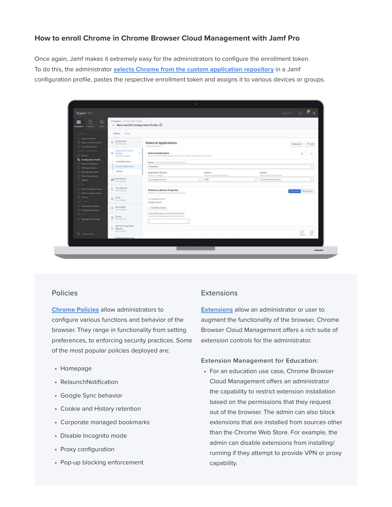### **How to enroll Chrome in Chrome Browser Cloud Management with Jamf Pro**

Once again, Jamf makes it extremely easy for the administrators to configure the enrollment token. To do this, the administrator **[selects Chrome from the custom application repository](https://support.google.com/chrome/a/answer/9923111?hl=en)** in a Jamf configuration profile, pastes the respective enrollment token and assigns it to various devices or groups.

| Sijamt (FIO)                                      |                                                                             |                                                                                                        |                                    |                                      | $\begin{picture}(0,0) \put(0,0){\line(1,0){10}} \put(0,0){\line(1,0){10}} \put(1,0){\line(1,0){10}} \put(1,0){\line(1,0){10}} \put(1,0){\line(1,0){10}} \put(1,0){\line(1,0){10}} \put(1,0){\line(1,0){10}} \put(1,0){\line(1,0){10}} \put(1,0){\line(1,0){10}} \put(1,0){\line(1,0){10}} \put(1,0){\line(1,0){10}} \put(1,0){\line(1,0){10}} \put(1,0){$ |
|---------------------------------------------------|-----------------------------------------------------------------------------|--------------------------------------------------------------------------------------------------------|------------------------------------|--------------------------------------|-----------------------------------------------------------------------------------------------------------------------------------------------------------------------------------------------------------------------------------------------------------------------------------------------------------------------------------------------------------|
| 兩<br>n.<br>用<br><b>COLL</b>                       | Campulans / Configuration Profiled<br>- New macOS Configuration Profile (1) |                                                                                                        |                                    |                                      |                                                                                                                                                                                                                                                                                                                                                           |
| <b>Gentler</b><br><b>Mark</b>                     |                                                                             |                                                                                                        |                                    |                                      |                                                                                                                                                                                                                                                                                                                                                           |
|                                                   | <b>Outburn Tennis</b>                                                       |                                                                                                        |                                    |                                      |                                                                                                                                                                                                                                                                                                                                                           |
| Sentimenty                                        | g  Brange Sayses                                                            |                                                                                                        |                                    |                                      |                                                                                                                                                                                                                                                                                                                                                           |
| Search Malufiel Contact<br><b>Loomed Selfores</b> | <b>Main Auto August</b>                                                     | <b>External Applications</b><br>Tuttebenet Insettspanist                                               |                                    |                                      | November 4 AM                                                                                                                                                                                                                                                                                                                                             |
|                                                   | <b><i><u>Instruction &amp; Carloss</u></i></b>                              |                                                                                                        |                                    |                                      |                                                                                                                                                                                                                                                                                                                                                           |
| Pomoca.                                           | <b>O' Lelenge</b><br>$\sim$<br>Louisian artists at                          | External Applications<br>line fed selver to drive uniting to professors brown acquire in the issuement |                                    |                                      | $x - A$                                                                                                                                                                                                                                                                                                                                                   |
| R. Configuration Profiles                         | Jacob August Lesliers                                                       | Bearing, Source to use for the preferences domain-<br>Bearings                                         |                                    |                                      |                                                                                                                                                                                                                                                                                                                                                           |
| <b>By provided Suffrages</b>                      | <b>Terre ted Applications</b>                                               |                                                                                                        |                                    |                                      |                                                                                                                                                                                                                                                                                                                                                           |
| <b>Phillips Images</b><br>Mar App Store Appt.     | Listens                                                                     | Azalicator Donain                                                                                      | Mension                            | Vanet                                |                                                                                                                                                                                                                                                                                                                                                           |
| Patch Management                                  |                                                                             | Business in Load Agricult                                                                              | Showers at the dealership december | attended of the systems is an really |                                                                                                                                                                                                                                                                                                                                                           |
| please a                                          | <b>DEE</b> Severthouton                                                     | Lore progri impres                                                                                     | MF<br>$\sim$                       | clearia-top-clum.jpm<br>$\sim$       | $\sim$                                                                                                                                                                                                                                                                                                                                                    |
|                                                   |                                                                             |                                                                                                        |                                    |                                      |                                                                                                                                                                                                                                                                                                                                                           |
| <b>Breat Campuler Scool</b>                       | The Machine                                                                 | <b>Preference Domain Properties</b><br>Properties to Lordquery for the productive destrate             |                                    |                                      | Post preview                                                                                                                                                                                                                                                                                                                                              |
| <b>Balti Cimputer Groups</b><br><b>Cleaned</b>    | (b) Freez                                                                   |                                                                                                        |                                    |                                      |                                                                                                                                                                                                                                                                                                                                                           |
|                                                   | <b>This is that they need</b>                                               | Loris prospectivement<br>Steugle Director                                                              |                                    |                                      |                                                                                                                                                                                                                                                                                                                                                           |
| <b>Distances tustomers</b>                        | $\mathbb{D}$ . Accordain                                                    | A Additional End."                                                                                     |                                    |                                      |                                                                                                                                                                                                                                                                                                                                                           |
| <b>Prettegi Dreatments</b>                        | <b>Business President</b>                                                   | Chisal Management Emotitient Token                                                                     |                                    |                                      |                                                                                                                                                                                                                                                                                                                                                           |
|                                                   | a tree.                                                                     | North and Titul Remained Ecology Tays                                                                  |                                    |                                      |                                                                                                                                                                                                                                                                                                                                                           |
| <b>Management Serings</b>                         |                                                                             |                                                                                                        |                                    |                                      |                                                                                                                                                                                                                                                                                                                                                           |
|                                                   | Asia To Per Azia VITA<br>TJ Massiva                                         |                                                                                                        |                                    |                                      |                                                                                                                                                                                                                                                                                                                                                           |
| C Column Meter                                    | <b>Sell particular</b>                                                      |                                                                                                        |                                    |                                      | $\overline{w}$<br>π                                                                                                                                                                                                                                                                                                                                       |
|                                                   | <b>Fishbuilt Recognize Key</b>                                              |                                                                                                        |                                    |                                      | Castral<br>. Tomar                                                                                                                                                                                                                                                                                                                                        |
|                                                   |                                                                             |                                                                                                        |                                    |                                      |                                                                                                                                                                                                                                                                                                                                                           |

#### Policies

**[Chrome Policies](https://g.co/chrome/enterprisepolicies)** allow administrators to configure various functions and behavior of the browser. They range in functionality from setting preferences, to enforcing security practices. Some of the most popular policies deployed are:

- Homepage
- RelaunchNotification
- Google Sync behavior
- Cookie and History retention
- Corporate managed bookmarks
- Disable Incognito mode
- Proxy configuration
- Pop-up blocking enforcement

## **Extensions**

**[Extensions](https://support.google.com/chrome/a/answer/9296680)** allow an administrator or user to augment the functionality of the browser. Chrome Browser Cloud Management offers a rich suite of extension controls for the administrator.

#### **Extension Management for Education:**

• For an education use case, Chrome Browser Cloud Management offers an administrator the capability to restrict extension installation based on the permissions that they request out of the browser. The admin can also block extensions that are installed from sources other than the Chrome Web Store. For example, the admin can disable extensions from installing/ running if they attempt to provide VPN or proxy capability.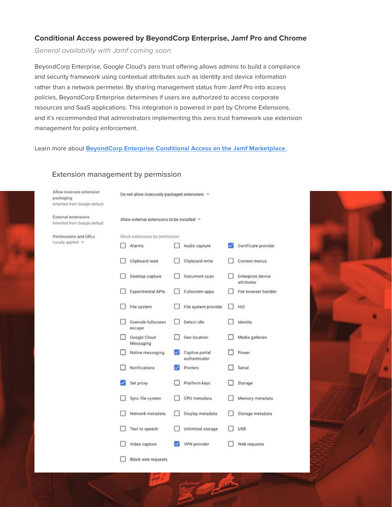## **Conditional Access powered by BeyondCorp Enterprise, Jamf Pro and Chrome**

*General availability with Jamf coming soon.*

BeyondCorp Enterprise, Google Cloud's zero trust offering allows admins to build a compliance and security framework using contextual attributes such as identity and device information rather than a network perimeter. By sharing management status from Jamf Pro into access policies, BeyondCorp Enterprise determines if users are authorized to access corporate resources and SaaS applications. This integration is powered in part by Chrome Extensions, and it's recommended that administrators implementing this zero trust framework use extension management for policy enforcement.

Learn more about **BeyondCorp Enterprise [Conditional Access on the Jamf Marketplace.](https://marketplace.jamf.com/details/beyondcorp-conditional-access/)**

| Allow insecure extension<br>packaging<br>Inherited from Google default | Do not allow insecurely packaged extensions $\sqrt{ }$ |                                |                                 |   |                                 |  |  |  |
|------------------------------------------------------------------------|--------------------------------------------------------|--------------------------------|---------------------------------|---|---------------------------------|--|--|--|
| <b>External extensions</b><br>Inherited from Google default            | Allow external extensions to be installed $\equiv$     |                                |                                 |   |                                 |  |  |  |
| Permissions and URLs                                                   |                                                        | Block extensions by permission |                                 |   |                                 |  |  |  |
| Locally applied =                                                      | <b>Alarms</b>                                          |                                | Audio capture                   | ✓ | Certificate provider            |  |  |  |
|                                                                        |                                                        | Clipboard read                 | Clipboard write                 |   | Context menus                   |  |  |  |
|                                                                        |                                                        | Desktop capture                | Document scan                   |   | Enterprise device<br>attributes |  |  |  |
|                                                                        |                                                        | <b>Experimental APIs</b>       | Fullscreen apps                 |   | File browser handler            |  |  |  |
|                                                                        | File system                                            |                                | File system provider            |   | HID                             |  |  |  |
|                                                                        | escape                                                 | Override fullscreen            | Detect idle                     |   | Identity                        |  |  |  |
|                                                                        | Google Cloud<br>Messaging                              |                                | Geo location                    |   | Media galleries                 |  |  |  |
|                                                                        |                                                        | Native messaging               | Captive portal<br>authenticator |   | Power                           |  |  |  |
|                                                                        | Notifications                                          |                                | Printers                        |   | Serial                          |  |  |  |
|                                                                        | Set proxy                                              |                                | Platform keys                   |   | Storage                         |  |  |  |
|                                                                        |                                                        | Sync file system               | CPU metadata                    |   | Memory metadata                 |  |  |  |
|                                                                        |                                                        | Network metadata               | Display metadata                |   | Storage metadata                |  |  |  |
|                                                                        |                                                        | Text to speech                 | Unlimited storage               |   | USB                             |  |  |  |
|                                                                        | Video capture                                          |                                | VPN provider                    |   | Web requests                    |  |  |  |
|                                                                        |                                                        | Block web requests             |                                 |   |                                 |  |  |  |

#### Extension management by permission

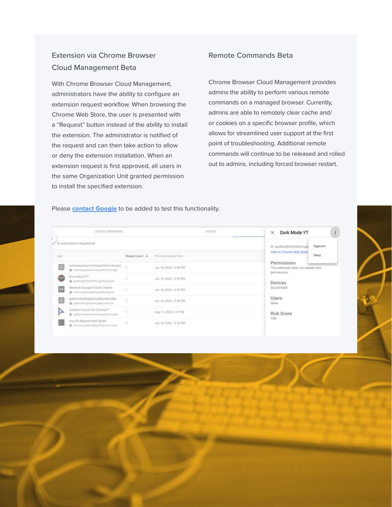# Extension via Chrome Browser Cloud Management Beta

With Chrome Browser Cloud Management, administrators have the ability to configure an extension request workflow. When browsing the Chrome Web Store, the user is presented with a "Request" button instead of the ability to install the extension. The administrator is notified of the request and can then take action to allow or deny the extension installation. When an extension request is first approved, all users in the same Organization Unit granted permission to install the specified extension.

#### Remote Commands Beta

Chrome Browser Cloud Management provides admins the ability to perform various remote commands on a managed browser. Currently, admins are able to remotely clear cache and/ or cookies on a specific browser profile, which allows for streamlined user support at the first point of troubleshooting. Additional remote commands will continue to be released and rolled out to admins, including forced browser restart.

#### Please **[contact G](https://support.google.com/chrome/a/answer/9036081?hl=en)oogle** to be added to test this functionality.

| USERS & BROWSERS<br>KIDSKS |                                                                             |                 |                                        | Dark Mode YT<br>× | $\ddot{z}$                                                                                                                                                         |  |  |
|----------------------------|-----------------------------------------------------------------------------|-----------------|----------------------------------------|-------------------|--------------------------------------------------------------------------------------------------------------------------------------------------------------------|--|--|
|                            | 6 extensions requested                                                      |                 | Approve<br>(D. ppdkhgfjidhhihkkhficgjd |                   |                                                                                                                                                                    |  |  |
| Ani                        |                                                                             | Request count + | The latest request time.               |                   | View in Chrome Web Store<br><b>STATISTICS</b><br>Deny<br>Permissions<br>This extension does not request any<br>permissions.<br><b>DISPUTERED</b><br><b>Devices</b> |  |  |
| ⊞                          | mekedaapoiaomickpepihkoinclmegoi<br>@ mikedupolannicksephisiinfrequt        |                 | Jun 16, 2020, 12:48 PM                 |                   |                                                                                                                                                                    |  |  |
| G                          | Dark Mode YT<br>@ ppdkhpfjidtrkkhfingslidegngolic                           |                 | Jun 16, 2020, 12:52 PM                 |                   |                                                                                                                                                                    |  |  |
| M                          | Material Incognito Dark Theme<br>@ sh/knpsgbadksthagphtenligheit            |                 | Jun 16, 2020, 12:52 PM                 |                   | <b>BEACKHASK</b>                                                                                                                                                   |  |  |
| ⊞                          | gribmiohoijhapemcjilibjondeicfob<br>@ geltmidtel/hateholdtgesteicheit       |                 | Jun 16, 2020, 12:48 PM                 |                   | Users<br>None<br>Risk Score<br>TBD                                                                                                                                 |  |  |
| ⋗                          | Custom Cursor for Chrome <sup>146</sup><br>@ opdpmfglpesiamcodratefpramaxle |                 | Aug 15, 2020, 1:27 PM                  |                   |                                                                                                                                                                    |  |  |
|                            | macOS Mojave Dark Mode<br>@ impadmphlahlpbjaidhspremndigh                   |                 | Jun 16, 2020, 12:52 PM                 |                   |                                                                                                                                                                    |  |  |

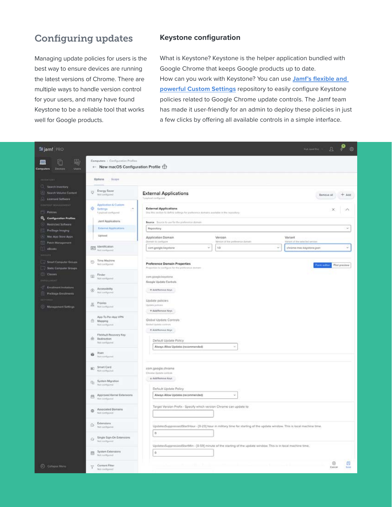# Configuring updates

Managing update policies for users is the best way to ensure devices are running the latest versions of Chrome. There are multiple ways to handle version control for your users, and many have found Keystone to be a reliable tool that works well for Google products.

## **Keystone configuration**

What is Keystone? Keystone is the helper application bundled with Google Chrome that keeps Google products up to date. How can you work with Keystone? You can use **[Jamf's flexible and](https://support.google.com/chrome/a/answer/9923111?hl=en)  [powerful Custom Settings](https://support.google.com/chrome/a/answer/9923111?hl=en)** repository to easily configure Keystone policies related to Google Chrome update controls. The Jamf team has made it user-friendly for an admin to deploy these policies in just a few clicks by offering all available controls in a simple interface.

| is jamf PRO                                                                                                                                                                                                                             |                                                                                                                                                                                          |                                             | ¢<br>$\mathfrak{Q}$<br>Full-Jamil Pro . -                   |
|-----------------------------------------------------------------------------------------------------------------------------------------------------------------------------------------------------------------------------------------|------------------------------------------------------------------------------------------------------------------------------------------------------------------------------------------|---------------------------------------------|-------------------------------------------------------------|
| 喝<br>Computers : Configuration Profiles<br>G<br>+ New macOS Configuration Profile<br>Devices<br>Users<br><b>Computers</b>                                                                                                               |                                                                                                                                                                                          |                                             |                                                             |
| Options<br>Scope.<br>NVENTIBY.                                                                                                                                                                                                          |                                                                                                                                                                                          |                                             |                                                             |
| <b>Search Inventory</b><br><b>C</b> Energy Sover<br>œ<br>Search Volume Content<br>Not configured<br>Licersed Software                                                                                                                   | <b>External Applications</b><br>Typishink configurati                                                                                                                                    | $+$ Add<br>Remove at                        |                                                             |
| <b>Application &amp; Custom</b><br>DISTINT MAGAZINEST<br>۵<br>Settmen<br>×,<br>Policies<br>Seighblid compared<br><b>Configuration Profiles</b><br>Jamf Applications<br>Restricted Software<br>External Applications<br>PreStage Imaging | <b>External Applications</b><br>She this section to define settings for preference domains available in the repository.<br>Source Source to use for the preference domain.<br>Repository | $\sim$                                      |                                                             |
| Upload<br>A Mac App Store Apps                                                                                                                                                                                                          | Application Domain                                                                                                                                                                       | Version                                     | Variant                                                     |
| Patch Management<br>[a]F] Mentification<br><b>IL eBooks</b><br><b>Stud interfigurered</b>                                                                                                                                               | Domain to configure<br>com geogle keystene<br>¥                                                                                                                                          | Venton of the preference durants<br>t0<br>ú | Variant of the selected service<br>chrome-mac-keystone.json |
| Time Machine<br>Smart Computer Groups<br>80<br>Not configured<br>Static Computer Groups                                                                                                                                                 | <b>Preference Domain Properties</b><br>Properties to configure for the proference dument                                                                                                 |                                             | on utility Plat preview                                     |
| (C) Classes<br>Finder<br>国<br>Nist configured<br><b><i>BWWGGLMENT</i></b>                                                                                                                                                               | com.google.keystone<br>Google Update Controls                                                                                                                                            |                                             |                                                             |
| Enrollment Invitations<br>Accessibility<br>$\circledcirc$<br>Not configured<br>PreStage Enronments                                                                                                                                      | $+$ Additionary Kirys                                                                                                                                                                    |                                             |                                                             |
| Provies<br>盂<br><b>Management Settings</b><br>Not configured                                                                                                                                                                            | Update policies<br>Update policies<br>+ Add/Remove Reys                                                                                                                                  |                                             |                                                             |
| App-To-Per-App VPN<br>鱼<br>Mapping<br>Not configured.                                                                                                                                                                                   | Global Update Controls<br><b>Stretof Update centring</b>                                                                                                                                 |                                             |                                                             |
| FileMault Recovery Key<br>命<br>Redirection<br><b>Fist contiguout</b>                                                                                                                                                                    | + Additions or Keys<br>Default Update Policy<br>Always Allow Updates (recommended)                                                                                                       | ×                                           |                                                             |
| Xsan<br>×,<br>Networkpated                                                                                                                                                                                                              |                                                                                                                                                                                          |                                             |                                                             |
| Smart Card<br>80<br>Nitconfigured                                                                                                                                                                                                       | com.google.chrome<br>Chrone Update controls                                                                                                                                              |                                             |                                                             |
| System Migration<br>南<br>Not contiguired                                                                                                                                                                                                | + Add/Remove Keys<br>Default Update Policy                                                                                                                                               |                                             |                                                             |
| Approved Kernel Extensions<br>用<br>Not contiguout                                                                                                                                                                                       | Always Allow Updates (recommended)                                                                                                                                                       | ٠                                           |                                                             |
| Associated Domains<br>$\circ$<br>Net configured                                                                                                                                                                                         | Target Version Prefix - Specify which version Chrome can update to                                                                                                                       |                                             |                                                             |
| Extensions<br>۵<br>Not configured                                                                                                                                                                                                       | UpdatesSuppressedStartHour - (0-23) hour in military time for starting of the update window. This is local machine time.                                                                 |                                             |                                                             |
| Single Sign-On Extensions<br>Ġ<br>Noticempoon                                                                                                                                                                                           | $\circ$                                                                                                                                                                                  |                                             |                                                             |
| System Extensions<br>四<br>Not configured                                                                                                                                                                                                | UpdatesSuppressedStartMin - (0-59) minute of the starting of the update window. This is in local machine time.<br>ö.                                                                     |                                             |                                                             |
| Content Filter<br>C Collogne Menu<br>Not comboyeed                                                                                                                                                                                      |                                                                                                                                                                                          |                                             | 闯<br>ø<br>Cancer<br>Sirve                                   |